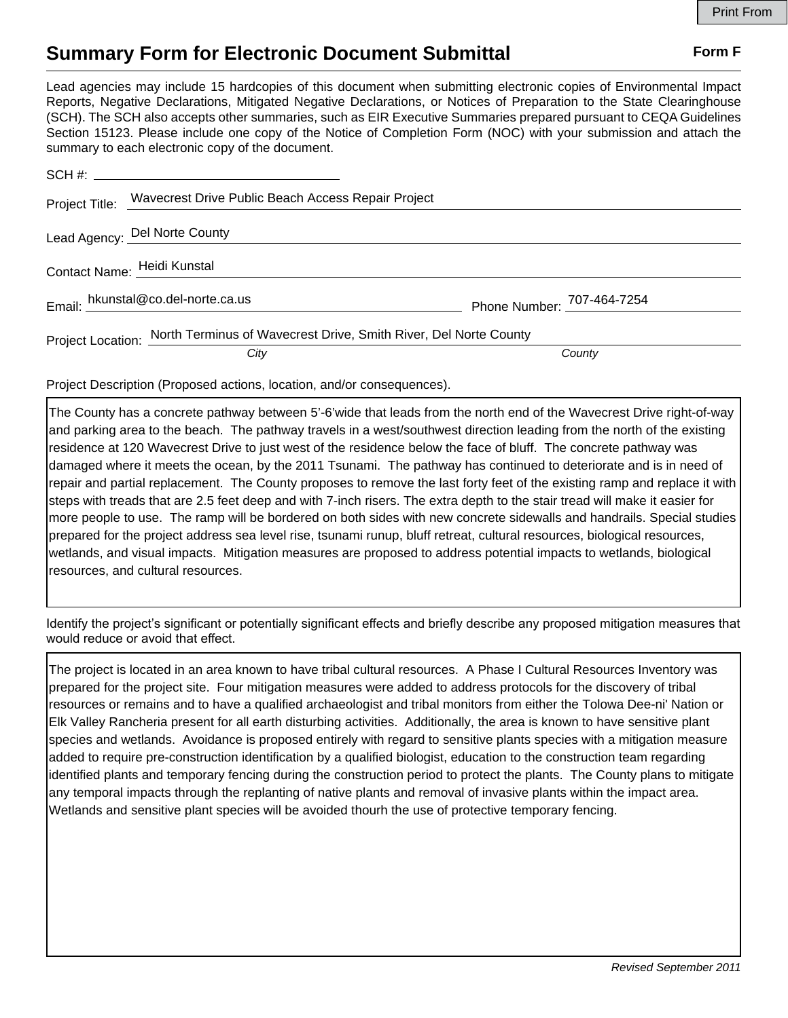## **Summary Form for Electronic Document Submittal Form F Form F**

Lead agencies may include 15 hardcopies of this document when submitting electronic copies of Environmental Impact Reports, Negative Declarations, Mitigated Negative Declarations, or Notices of Preparation to the State Clearinghouse (SCH). The SCH also accepts other summaries, such as EIR Executive Summaries prepared pursuant to CEQA Guidelines Section 15123. Please include one copy of the Notice of Completion Form (NOC) with your submission and attach the summary to each electronic copy of the document.

|                             | Project Title: Wavecrest Drive Public Beach Access Repair Project                  |                            |
|-----------------------------|------------------------------------------------------------------------------------|----------------------------|
|                             | Lead Agency: Del Norte County                                                      |                            |
| Contact Name: Heidi Kunstal |                                                                                    |                            |
|                             | Email: hkunstal@co.del-norte.ca.us                                                 | Phone Number: 707-464-7254 |
|                             | Project Location: North Terminus of Wavecrest Drive, Smith River, Del Norte County |                            |
|                             | City                                                                               | County                     |

Project Description (Proposed actions, location, and/or consequences).

The County has a concrete pathway between 5'-6'wide that leads from the north end of the Wavecrest Drive right-of-way and parking area to the beach. The pathway travels in a west/southwest direction leading from the north of the existing residence at 120 Wavecrest Drive to just west of the residence below the face of bluff. The concrete pathway was damaged where it meets the ocean, by the 2011 Tsunami. The pathway has continued to deteriorate and is in need of repair and partial replacement. The County proposes to remove the last forty feet of the existing ramp and replace it with steps with treads that are 2.5 feet deep and with 7-inch risers. The extra depth to the stair tread will make it easier for more people to use. The ramp will be bordered on both sides with new concrete sidewalls and handrails. Special studies prepared for the project address sea level rise, tsunami runup, bluff retreat, cultural resources, biological resources, wetlands, and visual impacts. Mitigation measures are proposed to address potential impacts to wetlands, biological resources, and cultural resources.

Identify the project's significant or potentially significant effects and briefly describe any proposed mitigation measures that would reduce or avoid that effect.

The project is located in an area known to have tribal cultural resources. A Phase I Cultural Resources Inventory was prepared for the project site. Four mitigation measures were added to address protocols for the discovery of tribal resources or remains and to have a qualified archaeologist and tribal monitors from either the Tolowa Dee-ni' Nation or Elk Valley Rancheria present for all earth disturbing activities. Additionally, the area is known to have sensitive plant species and wetlands. Avoidance is proposed entirely with regard to sensitive plants species with a mitigation measure added to require pre-construction identification by a qualified biologist, education to the construction team regarding identified plants and temporary fencing during the construction period to protect the plants. The County plans to mitigate any temporal impacts through the replanting of native plants and removal of invasive plants within the impact area. Wetlands and sensitive plant species will be avoided thourh the use of protective temporary fencing.